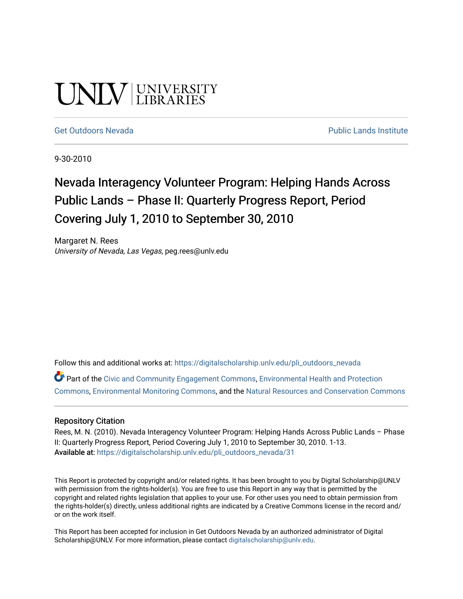# UNIV UNIVERSITY

#### [Get Outdoors Nevada](https://digitalscholarship.unlv.edu/pli_outdoors_nevada) **Public Lands Institute** Public Lands Institute

9-30-2010

## Nevada Interagency Volunteer Program: Helping Hands Across Public Lands – Phase II: Quarterly Progress Report, Period Covering July 1, 2010 to September 30, 2010

Margaret N. Rees University of Nevada, Las Vegas, peg.rees@unlv.edu

Follow this and additional works at: [https://digitalscholarship.unlv.edu/pli\\_outdoors\\_nevada](https://digitalscholarship.unlv.edu/pli_outdoors_nevada?utm_source=digitalscholarship.unlv.edu%2Fpli_outdoors_nevada%2F31&utm_medium=PDF&utm_campaign=PDFCoverPages)

Part of the [Civic and Community Engagement Commons](http://network.bepress.com/hgg/discipline/1028?utm_source=digitalscholarship.unlv.edu%2Fpli_outdoors_nevada%2F31&utm_medium=PDF&utm_campaign=PDFCoverPages), [Environmental Health and Protection](http://network.bepress.com/hgg/discipline/172?utm_source=digitalscholarship.unlv.edu%2Fpli_outdoors_nevada%2F31&utm_medium=PDF&utm_campaign=PDFCoverPages)  [Commons](http://network.bepress.com/hgg/discipline/172?utm_source=digitalscholarship.unlv.edu%2Fpli_outdoors_nevada%2F31&utm_medium=PDF&utm_campaign=PDFCoverPages), [Environmental Monitoring Commons,](http://network.bepress.com/hgg/discipline/931?utm_source=digitalscholarship.unlv.edu%2Fpli_outdoors_nevada%2F31&utm_medium=PDF&utm_campaign=PDFCoverPages) and the [Natural Resources and Conservation Commons](http://network.bepress.com/hgg/discipline/168?utm_source=digitalscholarship.unlv.edu%2Fpli_outdoors_nevada%2F31&utm_medium=PDF&utm_campaign=PDFCoverPages)

#### Repository Citation

Rees, M. N. (2010). Nevada Interagency Volunteer Program: Helping Hands Across Public Lands – Phase II: Quarterly Progress Report, Period Covering July 1, 2010 to September 30, 2010. 1-13. Available at: [https://digitalscholarship.unlv.edu/pli\\_outdoors\\_nevada/31](https://digitalscholarship.unlv.edu/pli_outdoors_nevada/31) 

This Report is protected by copyright and/or related rights. It has been brought to you by Digital Scholarship@UNLV with permission from the rights-holder(s). You are free to use this Report in any way that is permitted by the copyright and related rights legislation that applies to your use. For other uses you need to obtain permission from the rights-holder(s) directly, unless additional rights are indicated by a Creative Commons license in the record and/ or on the work itself.

This Report has been accepted for inclusion in Get Outdoors Nevada by an authorized administrator of Digital Scholarship@UNLV. For more information, please contact [digitalscholarship@unlv.edu.](mailto:digitalscholarship@unlv.edu)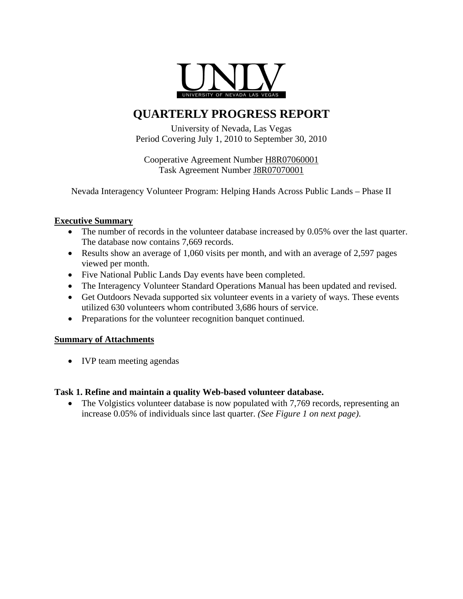

### **QUARTERLY PROGRESS REPORT**

University of Nevada, Las Vegas Period Covering July 1, 2010 to September 30, 2010

Cooperative Agreement Number H8R07060001 Task Agreement Number J8R07070001

Nevada Interagency Volunteer Program: Helping Hands Across Public Lands – Phase II

#### **Executive Summary**

- The number of records in the volunteer database increased by 0.05% over the last quarter. The database now contains 7,669 records.
- Results show an average of 1,060 visits per month, and with an average of 2,597 pages viewed per month.
- Five National Public Lands Day events have been completed.
- The Interagency Volunteer Standard Operations Manual has been updated and revised.
- Get Outdoors Nevada supported six volunteer events in a variety of ways. These events utilized 630 volunteers whom contributed 3,686 hours of service.
- Preparations for the volunteer recognition banquet continued.

#### **Summary of Attachments**

• IVP team meeting agendas

#### **Task 1. Refine and maintain a quality Web-based volunteer database.**

• The Volgistics volunteer database is now populated with 7,769 records, representing an increase 0.05% of individuals since last quarter. *(See Figure 1 on next page)*.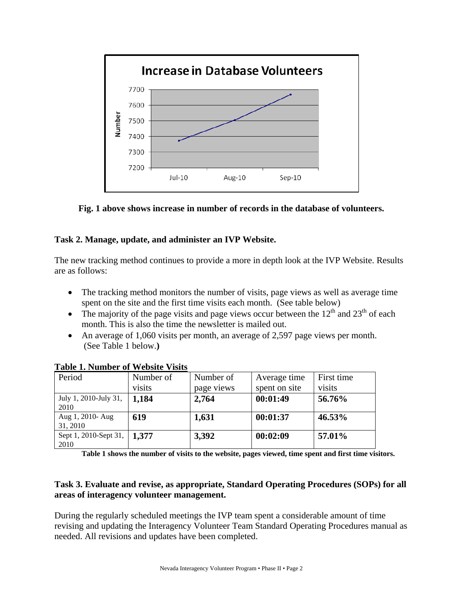

**Fig. 1 above shows increase in number of records in the database of volunteers.** 

#### **Task 2. Manage, update, and administer an IVP Website.**

The new tracking method continues to provide a more in depth look at the IVP Website. Results are as follows:

- The tracking method monitors the number of visits, page views as well as average time spent on the site and the first time visits each month. (See table below)
- The majority of the page visits and page views occur between the  $12<sup>th</sup>$  and  $23<sup>th</sup>$  of each month. This is also the time the newsletter is mailed out.
- An average of 1,060 visits per month, an average of 2,597 page views per month. (See Table 1 below.**)**

| Period                                | Number of | Number of  | Average time  | First time |
|---------------------------------------|-----------|------------|---------------|------------|
|                                       | visits    | page views | spent on site | visits     |
| July 1, 2010-July 31,<br>2010         | 1,184     | 2,764      | 00:01:49      | 56.76%     |
| Aug 1, 2010- Aug<br>31, 2010          | 619       | 1,631      | 00:01:37      | 46.53%     |
| Sept 1, 2010-Sept 31,   1,377<br>2010 |           | 3,392      | 00:02:09      | 57.01%     |

**Table 1. Number of Website Visits**

**Table 1 shows the number of visits to the website, pages viewed, time spent and first time visitors.** 

#### **Task 3. Evaluate and revise, as appropriate, Standard Operating Procedures (SOPs) for all areas of interagency volunteer management.**

During the regularly scheduled meetings the IVP team spent a considerable amount of time revising and updating the Interagency Volunteer Team Standard Operating Procedures manual as needed. All revisions and updates have been completed.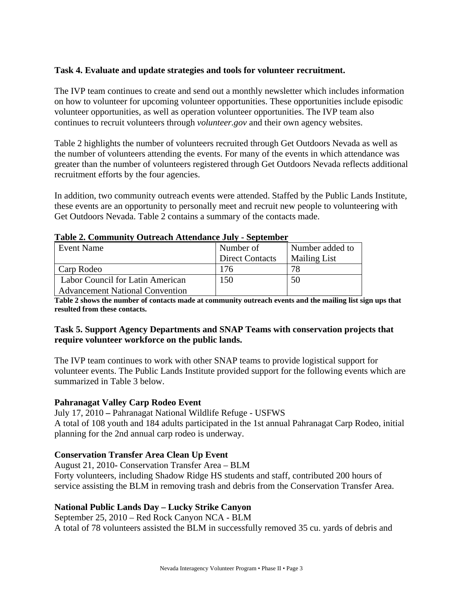#### **Task 4. Evaluate and update strategies and tools for volunteer recruitment.**

The IVP team continues to create and send out a monthly newsletter which includes information on how to volunteer for upcoming volunteer opportunities. These opportunities include episodic volunteer opportunities, as well as operation volunteer opportunities. The IVP team also continues to recruit volunteers through *volunteer.gov* and their own agency websites.

Table 2 highlights the number of volunteers recruited through Get Outdoors Nevada as well as the number of volunteers attending the events. For many of the events in which attendance was greater than the number of volunteers registered through Get Outdoors Nevada reflects additional recruitment efforts by the four agencies.

In addition, two community outreach events were attended. Staffed by the Public Lands Institute, these events are an opportunity to personally meet and recruit new people to volunteering with Get Outdoors Nevada. Table 2 contains a summary of the contacts made.

| Event Name                             | Number of              | Number added to     |  |
|----------------------------------------|------------------------|---------------------|--|
|                                        | <b>Direct Contacts</b> | <b>Mailing List</b> |  |
| Carp Rodeo                             | 176                    | 78                  |  |
| Labor Council for Latin American       | 150                    | 50                  |  |
| <b>Advancement National Convention</b> |                        |                     |  |

#### **Table 2. Community Outreach Attendance July - September**

**Table 2 shows the number of contacts made at community outreach events and the mailing list sign ups that resulted from these contacts.** 

#### **Task 5. Support Agency Departments and SNAP Teams with conservation projects that require volunteer workforce on the public lands.**

The IVP team continues to work with other SNAP teams to provide logistical support for volunteer events. The Public Lands Institute provided support for the following events which are summarized in Table 3 below.

#### **Pahranagat Valley Carp Rodeo Event**

July 17, 2010 **–** Pahranagat National Wildlife Refuge - USFWS A total of 108 youth and 184 adults participated in the 1st annual Pahranagat Carp Rodeo, initial planning for the 2nd annual carp rodeo is underway.

#### **Conservation Transfer Area Clean Up Event**

August 21, 2010**-** Conservation Transfer Area – BLM Forty volunteers, including Shadow Ridge HS students and staff, contributed 200 hours of service assisting the BLM in removing trash and debris from the Conservation Transfer Area.

#### **National Public Lands Day – Lucky Strike Canyon**

September 25, 2010 – Red Rock Canyon NCA - BLM A total of 78 volunteers assisted the BLM in successfully removed 35 cu. yards of debris and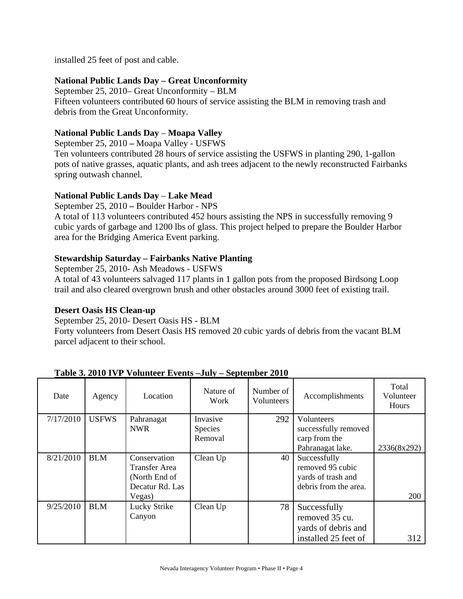installed 25 feet of post and cable.

#### **National Public Lands Day – Great Unconformity**

September 25, 2010– Great Unconformity – BLM Fifteen volunteers contributed 60 hours of service assisting the BLM in removing trash and debris from the Great Unconformity.

#### **National Public Lands Day** – **Moapa Valley**

September 25, 2010 **–** Moapa Valley - USFWS

Ten volunteers contributed 28 hours of service assisting the USFWS in planting 290, 1-gallon pots of native grasses, aquatic plants, and ash trees adjacent to the newly reconstructed Fairbanks spring outwash channel.

#### **National Public Lands Day** – **Lake Mead**

September 25, 2010 **–** Boulder Harbor - NPS

A total of 113 volunteers contributed 452 hours assisting the NPS in successfully removing 9 cubic yards of garbage and 1200 lbs of glass. This project helped to prepare the Boulder Harbor area for the Bridging America Event parking.

#### **Stewardship Saturday – Fairbanks Native Planting**

September 25, 2010- Ash Meadows - USFWS A total of 43 volunteers salvaged 117 plants in 1 gallon pots from the proposed Birdsong Loop trail and also cleared overgrown brush and other obstacles around 3000 feet of existing trail.

#### **Desert Oasis HS Clean-up**

September 25, 2010- Desert Oasis HS - BLM

Forty volunteers from Desert Oasis HS removed 20 cubic yards of debris from the vacant BLM parcel adjacent to their school.

| Date      | Agency       | Location        | Nature of<br>Work | Number of<br><b>Volunteers</b> | Accomplishments       | Total<br>Volunteer<br>Hours |
|-----------|--------------|-----------------|-------------------|--------------------------------|-----------------------|-----------------------------|
| 7/17/2010 | <b>USFWS</b> | Pahranagat      | Invasive          | 292                            | Volunteers            |                             |
|           |              | <b>NWR</b>      | <b>Species</b>    |                                | successfully removed  |                             |
|           |              |                 | Removal           |                                | carp from the         |                             |
|           |              |                 |                   |                                | Pahranagat lake.      | 2336(8x292)                 |
| 8/21/2010 | <b>BLM</b>   | Conservation    | Clean Up          | 40                             | Successfully          |                             |
|           |              | Transfer Area   |                   |                                | removed 95 cubic      |                             |
|           |              | (North End of   |                   |                                | yards of trash and    |                             |
|           |              | Decatur Rd. Las |                   |                                | debris from the area. |                             |
|           |              | Vegas)          |                   |                                |                       | 200                         |
| 9/25/2010 | <b>BLM</b>   | Lucky Strike    | Clean Up          | 78                             | Successfully          |                             |
|           |              | Canyon          |                   |                                | removed 35 cu.        |                             |
|           |              |                 |                   |                                | yards of debris and   |                             |
|           |              |                 |                   |                                | installed 25 feet of  | 312                         |

**Table 3. 2010 IVP Volunteer Events –July – September 2010**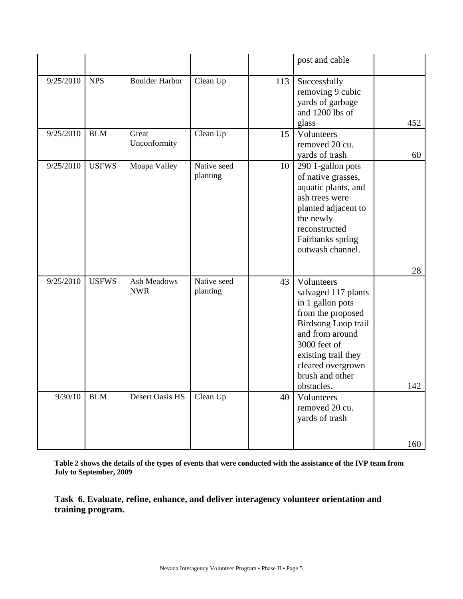|           |              |                           |                         |     | post and cable                                                                                                                                                                                                    |     |
|-----------|--------------|---------------------------|-------------------------|-----|-------------------------------------------------------------------------------------------------------------------------------------------------------------------------------------------------------------------|-----|
| 9/25/2010 | <b>NPS</b>   | <b>Boulder Harbor</b>     | Clean Up                | 113 | Successfully<br>removing 9 cubic<br>yards of garbage<br>and 1200 lbs of<br>glass                                                                                                                                  | 452 |
| 9/25/2010 | <b>BLM</b>   | Great<br>Unconformity     | Clean Up                | 15  | Volunteers<br>removed 20 cu.<br>yards of trash                                                                                                                                                                    | 60  |
| 9/25/2010 | <b>USFWS</b> | Moapa Valley              | Native seed<br>planting | 10  | 290 1-gallon pots<br>of native grasses,<br>aquatic plants, and<br>ash trees were<br>planted adjacent to<br>the newly<br>reconstructed<br>Fairbanks spring<br>outwash channel.                                     |     |
|           |              |                           |                         |     |                                                                                                                                                                                                                   | 28  |
| 9/25/2010 | <b>USFWS</b> | Ash Meadows<br><b>NWR</b> | Native seed<br>planting | 43  | Volunteers<br>salvaged 117 plants<br>in 1 gallon pots<br>from the proposed<br>Birdsong Loop trail<br>and from around<br>3000 feet of<br>existing trail they<br>cleared overgrown<br>brush and other<br>obstacles. | 142 |
| 9/30/10   | <b>BLM</b>   | Desert Oasis HS           | Clean Up                | 40  | Volunteers<br>removed 20 cu.<br>yards of trash                                                                                                                                                                    |     |
|           |              |                           |                         |     |                                                                                                                                                                                                                   | 160 |

**Table 2 shows the details of the types of events that were conducted with the assistance of the IVP team from July to September, 2009** 

**Task 6. Evaluate, refine, enhance, and deliver interagency volunteer orientation and training program.**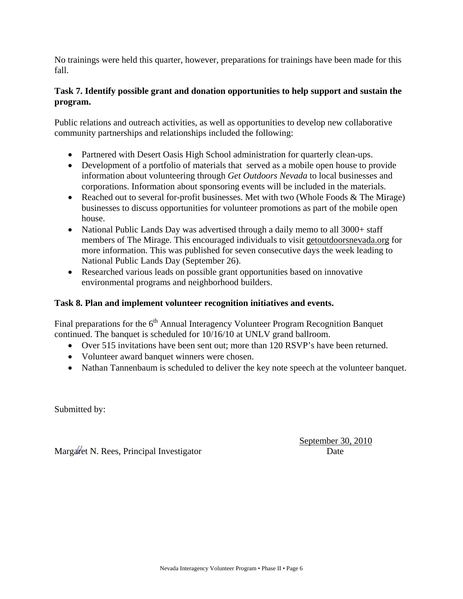No trainings were held this quarter, however, preparations for trainings have been made for this fall.

#### **Task 7. Identify possible grant and donation opportunities to help support and sustain the program.**

Public relations and outreach activities, as well as opportunities to develop new collaborative community partnerships and relationships included the following:

- Partnered with Desert Oasis High School administration for quarterly clean-ups.
- Development of a portfolio of materials that served as a mobile open house to provide information about volunteering through *Get Outdoors Nevada* to local businesses and corporations. Information about sponsoring events will be included in the materials.
- Reached out to several for-profit businesses. Met with two (Whole Foods  $&$  The Mirage) businesses to discuss opportunities for volunteer promotions as part of the mobile open house.
- National Public Lands Day was advertised through a daily memo to all 3000+ staff members of The Mirage. This encouraged individuals to visit getoutdoorsnevada.org for more information. This was published for seven consecutive days the week leading to National Public Lands Day (September 26).
- Researched various leads on possible grant opportunities based on innovative environmental programs and neighborhood builders.

#### **Task 8. Plan and implement volunteer recognition initiatives and events.**

Final preparations for the  $6<sup>th</sup>$  Annual Interagency Volunteer Program Recognition Banquet continued. The banquet is scheduled for 10/16/10 at UNLV grand ballroom.

- Over 515 invitations have been sent out; more than 120 RSVP's have been returned.
- Volunteer award banquet winners were chosen.
- Nathan Tannenbaum is scheduled to deliver the key note speech at the volunteer banquet.

Submitted by:

Margaret N. Rees, Principal Investigator Date

September 30, 2010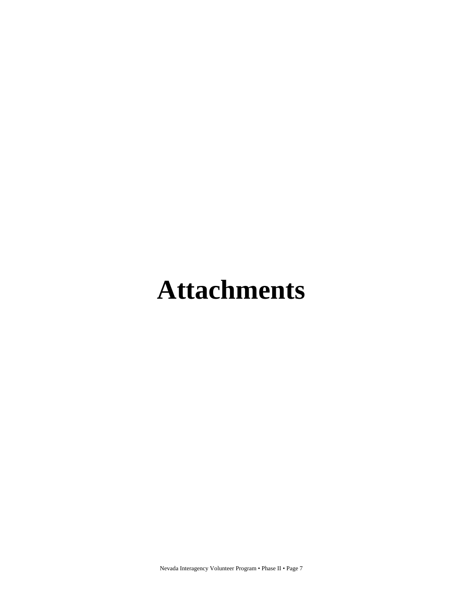# **Attachments**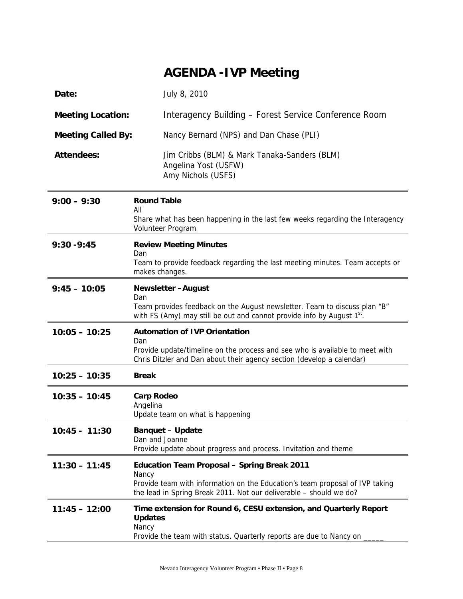## **AGENDA -IVP Meeting**

| Date:                     | July 8, 2010                                                                                                                                                                                                      |
|---------------------------|-------------------------------------------------------------------------------------------------------------------------------------------------------------------------------------------------------------------|
| <b>Meeting Location:</b>  | Interagency Building - Forest Service Conference Room                                                                                                                                                             |
| <b>Meeting Called By:</b> | Nancy Bernard (NPS) and Dan Chase (PLI)                                                                                                                                                                           |
| <b>Attendees:</b>         | Jim Cribbs (BLM) & Mark Tanaka-Sanders (BLM)<br>Angelina Yost (USFW)<br>Amy Nichols (USFS)                                                                                                                        |
| $9:00 - 9:30$             | <b>Round Table</b><br>All<br>Share what has been happening in the last few weeks regarding the Interagency<br>Volunteer Program                                                                                   |
| $9:30 - 9:45$             | <b>Review Meeting Minutes</b><br>Dan<br>Team to provide feedback regarding the last meeting minutes. Team accepts or<br>makes changes.                                                                            |
| $9:45 - 10:05$            | <b>Newsletter-August</b><br>Dan<br>Team provides feedback on the August newsletter. Team to discuss plan "B"<br>with FS (Amy) may still be out and cannot provide info by August 1 <sup>st</sup> .                |
| $10:05 - 10:25$           | <b>Automation of IVP Orientation</b><br>Dan<br>Provide update/timeline on the process and see who is available to meet with<br>Chris Ditzler and Dan about their agency section (develop a calendar)              |
| $10:25 - 10:35$           | <b>Break</b>                                                                                                                                                                                                      |
| $10:35 - 10:45$           | <b>Carp Rodeo</b><br>Angelina<br>Update team on what is happening                                                                                                                                                 |
| $10:45 - 11:30$           | <b>Banquet - Update</b><br>Dan and Joanne<br>Provide update about progress and process. Invitation and theme                                                                                                      |
| $11:30 - 11:45$           | <b>Education Team Proposal - Spring Break 2011</b><br>Nancy<br>Provide team with information on the Education's team proposal of IVP taking<br>the lead in Spring Break 2011. Not our deliverable - should we do? |
| $11:45 - 12:00$           | Time extension for Round 6, CESU extension, and Quarterly Report<br><b>Updates</b><br>Nancy<br>Provide the team with status. Quarterly reports are due to Nancy on                                                |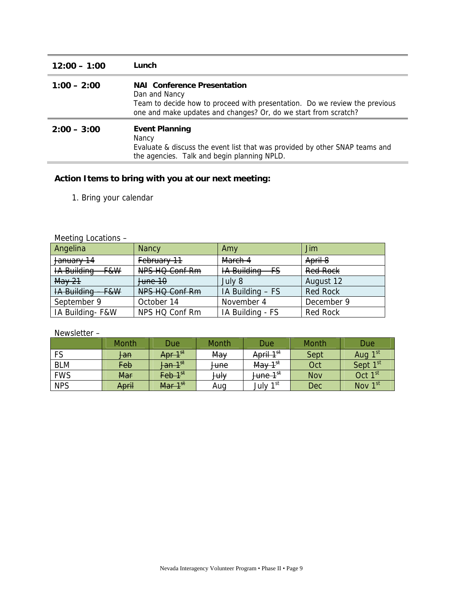| $12:00 - 1:00$ | Lunch                                                                                                                                                                                                |
|----------------|------------------------------------------------------------------------------------------------------------------------------------------------------------------------------------------------------|
| $1:00 - 2:00$  | <b>NAI</b> Conference Presentation<br>Dan and Nancy<br>Team to decide how to proceed with presentation. Do we review the previous<br>one and make updates and changes? Or, do we start from scratch? |
| $2:00 - 3:00$  | <b>Event Planning</b><br>Nancy<br>Evaluate & discuss the event list that was provided by other SNAP teams and<br>the agencies. Talk and begin planning NPLD.                                         |

#### **Action Items to bring with you at our next meeting:**

1. Bring your calendar

#### Meeting Locations –

| Angelina                         | <b>Nancy</b>       | Amy                                   | Jim             |
|----------------------------------|--------------------|---------------------------------------|-----------------|
| January 14                       | February 11        | March 4                               | April 8         |
| <b>IA Building</b><br>$F$ & $W$  | NPS HQ Conf Rm     | <b>IA Building</b><br><del>- FS</del> | <b>Red Rock</b> |
| <b>May 21</b>                    | <del>June 10</del> | July 8                                | August 12       |
| <del>IA Building - F&amp;W</del> | NPS HQ Conf Rm     | IA Building - FS                      | <b>Red Rock</b> |
| September 9                      | October 14         | November 4                            | December 9      |
| IA Building-F&W                  | NPS HQ Conf Rm     | IA Building - FS                      | <b>Red Rock</b> |

Newsletter –

|            | Month          | Due                           | Month           | Due                   | Month | Due                 |
|------------|----------------|-------------------------------|-----------------|-----------------------|-------|---------------------|
| FS         | <del>Jan</del> | Apr 1 <sup>st</sup>           | May             | April 1 <sup>st</sup> | Sept  | Aug 1 <sup>st</sup> |
| <b>BLM</b> | Feb            | Jan 1 <sup>st</sup>           | <del>June</del> | May 1 <sup>st</sup>   | Oct   | ⊸rst<br>Sept.       |
| <b>FWS</b> | Mar            | $\mathsf{Feb\text{ } 1^{st}}$ | <b>July</b>     | June 1 <sup>st</sup>  | Nov   | Oct 1 $^{\rm st}$   |
| <b>NPS</b> | April          | Mar 1 <sup>st</sup>           | Aug             | 1st<br>July 1         | Dec   | Nov $1^\text{st}$   |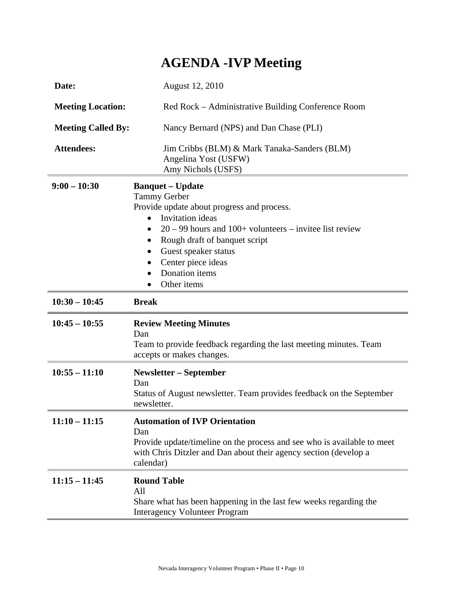# **AGENDA -IVP Meeting**

| Date:                     | August 12, 2010                                                                                                                                                                                                                                                                                                                |
|---------------------------|--------------------------------------------------------------------------------------------------------------------------------------------------------------------------------------------------------------------------------------------------------------------------------------------------------------------------------|
| <b>Meeting Location:</b>  | Red Rock – Administrative Building Conference Room                                                                                                                                                                                                                                                                             |
| <b>Meeting Called By:</b> | Nancy Bernard (NPS) and Dan Chase (PLI)                                                                                                                                                                                                                                                                                        |
| <b>Attendees:</b>         | Jim Cribbs (BLM) & Mark Tanaka-Sanders (BLM)<br>Angelina Yost (USFW)<br>Amy Nichols (USFS)                                                                                                                                                                                                                                     |
| $9:00 - 10:30$            | <b>Banquet - Update</b><br><b>Tammy Gerber</b><br>Provide update about progress and process.<br>Invitation ideas<br>$\bullet$<br>$20 - 99$ hours and $100+$ volunteers – invitee list review<br>Rough draft of banquet script<br>$\bullet$<br>Guest speaker status<br>٠<br>Center piece ideas<br>Donation items<br>Other items |
| $10:30 - 10:45$           | <b>Break</b>                                                                                                                                                                                                                                                                                                                   |
| $10:45 - 10:55$           | <b>Review Meeting Minutes</b><br>Dan<br>Team to provide feedback regarding the last meeting minutes. Team<br>accepts or makes changes.                                                                                                                                                                                         |
| $10:55 - 11:10$           | <b>Newsletter – September</b><br>Dan<br>Status of August newsletter. Team provides feedback on the September<br>newsletter.                                                                                                                                                                                                    |
| $11:10 - 11:15$           | <b>Automation of IVP Orientation</b><br>Dan<br>Provide update/timeline on the process and see who is available to meet<br>with Chris Ditzler and Dan about their agency section (develop a<br>calendar)                                                                                                                        |
| $11:15 - 11:45$           | <b>Round Table</b><br>All<br>Share what has been happening in the last few weeks regarding the<br><b>Interagency Volunteer Program</b>                                                                                                                                                                                         |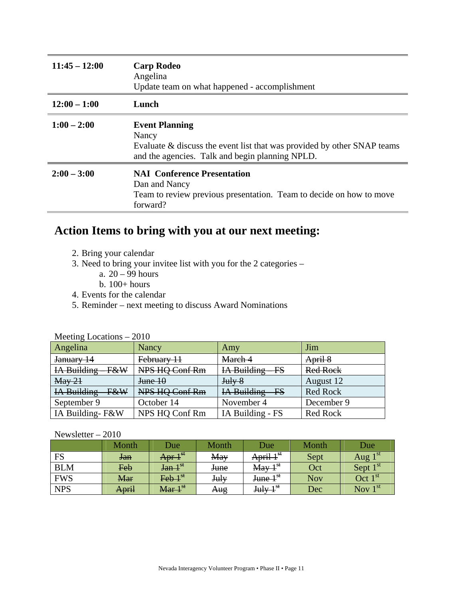| $11:45 - 12:00$ | <b>Carp Rodeo</b><br>Angelina<br>Update team on what happened - accomplishment                                                                               |
|-----------------|--------------------------------------------------------------------------------------------------------------------------------------------------------------|
| $12:00 - 1:00$  | Lunch                                                                                                                                                        |
| $1:00 - 2:00$   | <b>Event Planning</b><br>Nancy<br>Evaluate & discuss the event list that was provided by other SNAP teams<br>and the agencies. Talk and begin planning NPLD. |
| $2:00 - 3:00$   | <b>NAI</b> Conference Presentation<br>Dan and Nancy<br>Team to review previous presentation. Team to decide on how to move<br>forward?                       |

## **Action Items to bring with you at our next meeting:**

- 2. Bring your calendar
- 3. Need to bring your invitee list with you for the 2 categories
	- a.  $20 99$  hours
	- b. 100+ hours
- 4. Events for the calendar
- 5. Reminder next meeting to discuss Award Nominations

| Angelina                      | Nancy          | Amy                                   | Jim             |
|-------------------------------|----------------|---------------------------------------|-----------------|
| January 14                    | February 11    | March 4                               | April 8         |
| IA Building<br><b>F&amp;W</b> | NPS HQ Conf Rm | IA Building<br>$\overline{\text{FS}}$ | <b>Red Rock</b> |
| $\text{May } 21$              | June 10        | Julv <sub>8</sub>                     | August 12       |
| IA Building<br><b>F&amp;W</b> | NPS HQ Conf Rm | IA Building - FS                      | <b>Red Rock</b> |
| September 9                   | October 14     | November 4                            | December 9      |
| IA Building-F&W               | NPS HQ Conf Rm | IA Building - FS                      | Red Rock        |

#### Meeting Locations – 2010

#### Newsletter – 2010

|            | Month          | Due                         | Month       | Due                                          | Month | Due                       |
|------------|----------------|-----------------------------|-------------|----------------------------------------------|-------|---------------------------|
| FS         | <del>Jan</del> | -1 St<br>Apr +              | May         | 1 St<br>$^{\bullet}$ 1<br><del>April 1</del> | Sept  | 1 St<br>Aug               |
| <b>BLM</b> | Feb            | $\int$ an $1^{st}$          | <b>June</b> | 1 St<br>May                                  | Oct   | 1 st<br>Sept              |
| <b>FWS</b> | <b>Mar</b>     | $\text{Feb } 1^{\text{st}}$ | July        | 1 St<br><del>June 1</del>                    | Nov   | - 1 St<br>Oct             |
| <b>NPS</b> | April          | Mar 1 <sup>st</sup>         | Aug         | 1 St<br>Julv                                 | Dec   | $\sim$ 1 St<br><b>Nov</b> |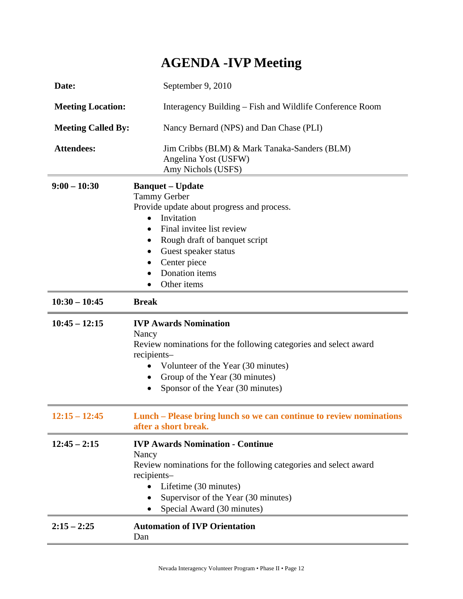# **AGENDA -IVP Meeting**

| Date:                     | September 9, 2010                                                                                                                                                                                                                                                                        |  |  |  |  |  |
|---------------------------|------------------------------------------------------------------------------------------------------------------------------------------------------------------------------------------------------------------------------------------------------------------------------------------|--|--|--|--|--|
| <b>Meeting Location:</b>  | Interagency Building – Fish and Wildlife Conference Room                                                                                                                                                                                                                                 |  |  |  |  |  |
| <b>Meeting Called By:</b> | Nancy Bernard (NPS) and Dan Chase (PLI)                                                                                                                                                                                                                                                  |  |  |  |  |  |
| <b>Attendees:</b>         | Jim Cribbs (BLM) & Mark Tanaka-Sanders (BLM)<br>Angelina Yost (USFW)<br>Amy Nichols (USFS)                                                                                                                                                                                               |  |  |  |  |  |
| $9:00 - 10:30$            | <b>Banquet – Update</b><br><b>Tammy Gerber</b><br>Provide update about progress and process.<br>Invitation<br>$\bullet$<br>Final invitee list review<br>$\bullet$<br>Rough draft of banquet script<br>$\bullet$<br>Guest speaker status<br>Center piece<br>Donation items<br>Other items |  |  |  |  |  |
| $10:30 - 10:45$           | <b>Break</b>                                                                                                                                                                                                                                                                             |  |  |  |  |  |
| $10:45 - 12:15$           | <b>IVP Awards Nomination</b>                                                                                                                                                                                                                                                             |  |  |  |  |  |
|                           | Nancy<br>Review nominations for the following categories and select award<br>recipients-<br>Volunteer of the Year (30 minutes)<br>Group of the Year (30 minutes)<br>٠<br>Sponsor of the Year (30 minutes)                                                                                |  |  |  |  |  |
| $12:15 - 12:45$           | Lunch - Please bring lunch so we can continue to review nominations<br>after a short break.                                                                                                                                                                                              |  |  |  |  |  |
| $12:45 - 2:15$            | <b>IVP Awards Nomination - Continue</b><br>Nancy<br>Review nominations for the following categories and select award<br>recipients-<br>Lifetime (30 minutes)<br>Supervisor of the Year (30 minutes)<br>Special Award (30 minutes)                                                        |  |  |  |  |  |